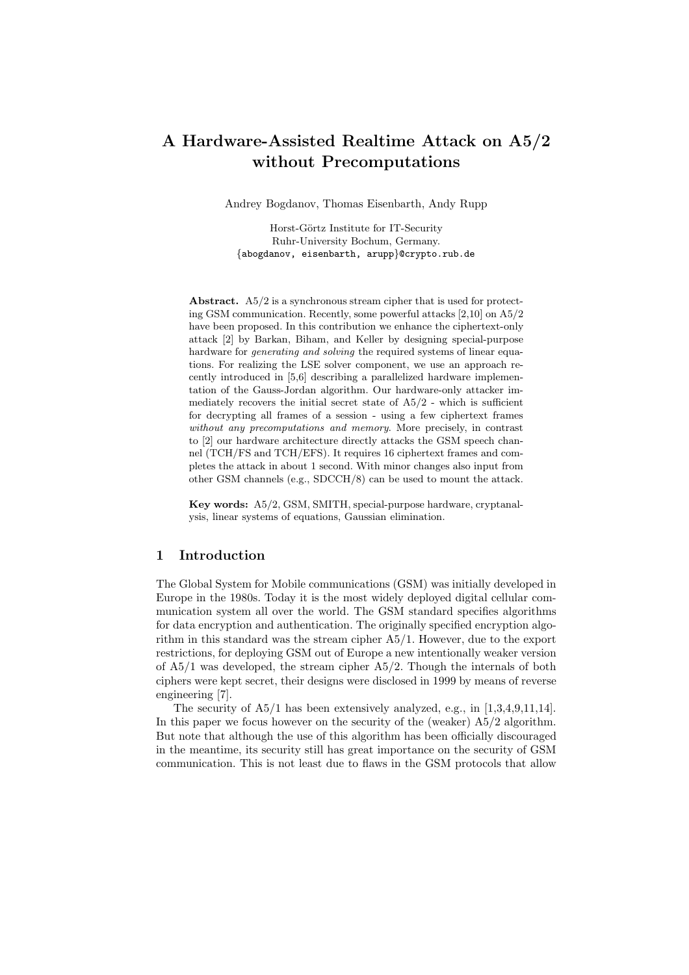# A Hardware-Assisted Realtime Attack on A5/2 without Precomputations

Andrey Bogdanov, Thomas Eisenbarth, Andy Rupp

Horst-Görtz Institute for IT-Security Ruhr-University Bochum, Germany. {abogdanov, eisenbarth, arupp}@crypto.rub.de

Abstract. A5/2 is a synchronous stream cipher that is used for protecting GSM communication. Recently, some powerful attacks [2,10] on A5/2 have been proposed. In this contribution we enhance the ciphertext-only attack [2] by Barkan, Biham, and Keller by designing special-purpose hardware for *generating and solving* the required systems of linear equations. For realizing the LSE solver component, we use an approach recently introduced in [5,6] describing a parallelized hardware implementation of the Gauss-Jordan algorithm. Our hardware-only attacker immediately recovers the initial secret state of  $A5/2$  - which is sufficient for decrypting all frames of a session - using a few ciphertext frames without any precomputations and memory. More precisely, in contrast to [2] our hardware architecture directly attacks the GSM speech channel (TCH/FS and TCH/EFS). It requires 16 ciphertext frames and completes the attack in about 1 second. With minor changes also input from other GSM channels (e.g., SDCCH/8) can be used to mount the attack.

Key words: A5/2, GSM, SMITH, special-purpose hardware, cryptanalysis, linear systems of equations, Gaussian elimination.

# 1 Introduction

The Global System for Mobile communications (GSM) was initially developed in Europe in the 1980s. Today it is the most widely deployed digital cellular communication system all over the world. The GSM standard specifies algorithms for data encryption and authentication. The originally specified encryption algorithm in this standard was the stream cipher A5/1. However, due to the export restrictions, for deploying GSM out of Europe a new intentionally weaker version of A5/1 was developed, the stream cipher A5/2. Though the internals of both ciphers were kept secret, their designs were disclosed in 1999 by means of reverse engineering [7].

The security of A5/1 has been extensively analyzed, e.g., in [1,3,4,9,11,14]. In this paper we focus however on the security of the (weaker) A5/2 algorithm. But note that although the use of this algorithm has been officially discouraged in the meantime, its security still has great importance on the security of GSM communication. This is not least due to flaws in the GSM protocols that allow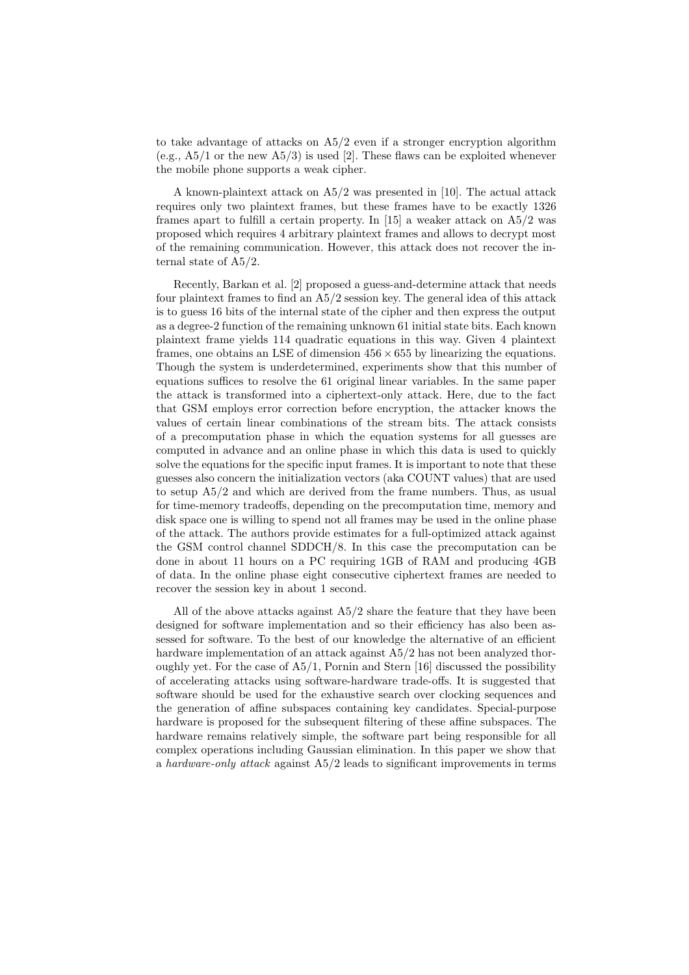to take advantage of attacks on A5/2 even if a stronger encryption algorithm (e.g.,  $A5/1$  or the new  $A5/3$ ) is used [2]. These flaws can be exploited whenever the mobile phone supports a weak cipher.

A known-plaintext attack on A5/2 was presented in [10]. The actual attack requires only two plaintext frames, but these frames have to be exactly 1326 frames apart to fulfill a certain property. In [15] a weaker attack on A5/2 was proposed which requires 4 arbitrary plaintext frames and allows to decrypt most of the remaining communication. However, this attack does not recover the internal state of A5/2.

Recently, Barkan et al. [2] proposed a guess-and-determine attack that needs four plaintext frames to find an A5/2 session key. The general idea of this attack is to guess 16 bits of the internal state of the cipher and then express the output as a degree-2 function of the remaining unknown 61 initial state bits. Each known plaintext frame yields 114 quadratic equations in this way. Given 4 plaintext frames, one obtains an LSE of dimension  $456 \times 655$  by linearizing the equations. Though the system is underdetermined, experiments show that this number of equations suffices to resolve the 61 original linear variables. In the same paper the attack is transformed into a ciphertext-only attack. Here, due to the fact that GSM employs error correction before encryption, the attacker knows the values of certain linear combinations of the stream bits. The attack consists of a precomputation phase in which the equation systems for all guesses are computed in advance and an online phase in which this data is used to quickly solve the equations for the specific input frames. It is important to note that these guesses also concern the initialization vectors (aka COUNT values) that are used to setup A5/2 and which are derived from the frame numbers. Thus, as usual for time-memory tradeoffs, depending on the precomputation time, memory and disk space one is willing to spend not all frames may be used in the online phase of the attack. The authors provide estimates for a full-optimized attack against the GSM control channel SDDCH/8. In this case the precomputation can be done in about 11 hours on a PC requiring 1GB of RAM and producing 4GB of data. In the online phase eight consecutive ciphertext frames are needed to recover the session key in about 1 second.

All of the above attacks against  $A5/2$  share the feature that they have been designed for software implementation and so their efficiency has also been assessed for software. To the best of our knowledge the alternative of an efficient hardware implementation of an attack against A5/2 has not been analyzed thoroughly yet. For the case of A5/1, Pornin and Stern [16] discussed the possibility of accelerating attacks using software-hardware trade-offs. It is suggested that software should be used for the exhaustive search over clocking sequences and the generation of affine subspaces containing key candidates. Special-purpose hardware is proposed for the subsequent filtering of these affine subspaces. The hardware remains relatively simple, the software part being responsible for all complex operations including Gaussian elimination. In this paper we show that a hardware-only attack against A5/2 leads to significant improvements in terms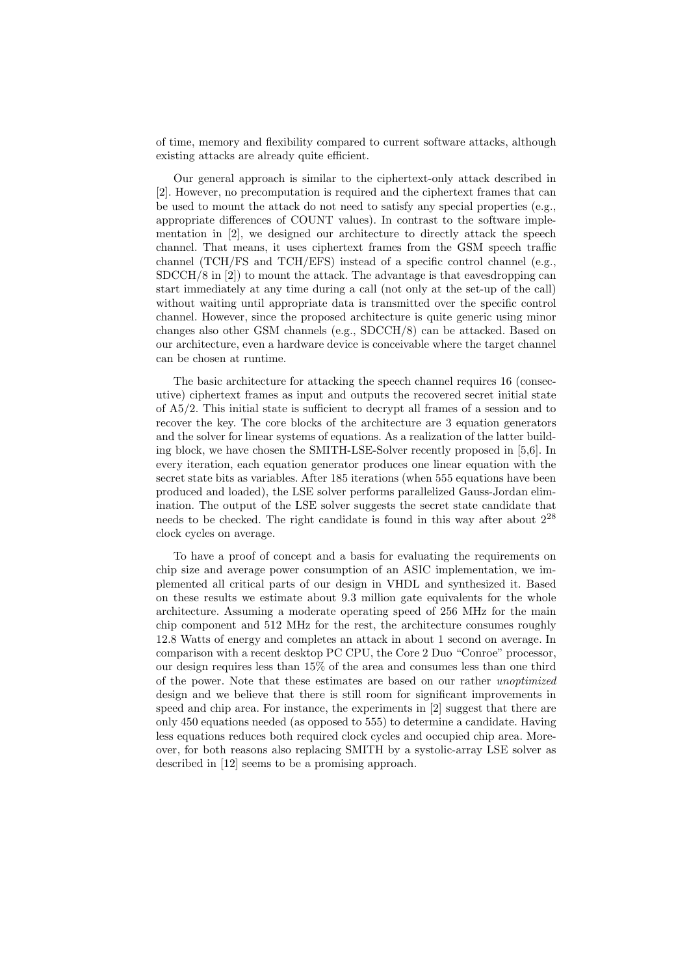of time, memory and flexibility compared to current software attacks, although existing attacks are already quite efficient.

Our general approach is similar to the ciphertext-only attack described in [2]. However, no precomputation is required and the ciphertext frames that can be used to mount the attack do not need to satisfy any special properties (e.g., appropriate differences of COUNT values). In contrast to the software implementation in [2], we designed our architecture to directly attack the speech channel. That means, it uses ciphertext frames from the GSM speech traffic channel (TCH/FS and TCH/EFS) instead of a specific control channel (e.g.,  $SDCCH/8$  in  $[2]$  to mount the attack. The advantage is that eavesdropping can start immediately at any time during a call (not only at the set-up of the call) without waiting until appropriate data is transmitted over the specific control channel. However, since the proposed architecture is quite generic using minor changes also other GSM channels (e.g., SDCCH/8) can be attacked. Based on our architecture, even a hardware device is conceivable where the target channel can be chosen at runtime.

The basic architecture for attacking the speech channel requires 16 (consecutive) ciphertext frames as input and outputs the recovered secret initial state of A5/2. This initial state is sufficient to decrypt all frames of a session and to recover the key. The core blocks of the architecture are 3 equation generators and the solver for linear systems of equations. As a realization of the latter building block, we have chosen the SMITH-LSE-Solver recently proposed in [5,6]. In every iteration, each equation generator produces one linear equation with the secret state bits as variables. After 185 iterations (when 555 equations have been produced and loaded), the LSE solver performs parallelized Gauss-Jordan elimination. The output of the LSE solver suggests the secret state candidate that needs to be checked. The right candidate is found in this way after about  $2^{28}$ clock cycles on average.

To have a proof of concept and a basis for evaluating the requirements on chip size and average power consumption of an ASIC implementation, we implemented all critical parts of our design in VHDL and synthesized it. Based on these results we estimate about 9.3 million gate equivalents for the whole architecture. Assuming a moderate operating speed of 256 MHz for the main chip component and 512 MHz for the rest, the architecture consumes roughly 12.8 Watts of energy and completes an attack in about 1 second on average. In comparison with a recent desktop PC CPU, the Core 2 Duo "Conroe" processor, our design requires less than 15% of the area and consumes less than one third of the power. Note that these estimates are based on our rather unoptimized design and we believe that there is still room for significant improvements in speed and chip area. For instance, the experiments in [2] suggest that there are only 450 equations needed (as opposed to 555) to determine a candidate. Having less equations reduces both required clock cycles and occupied chip area. Moreover, for both reasons also replacing SMITH by a systolic-array LSE solver as described in [12] seems to be a promising approach.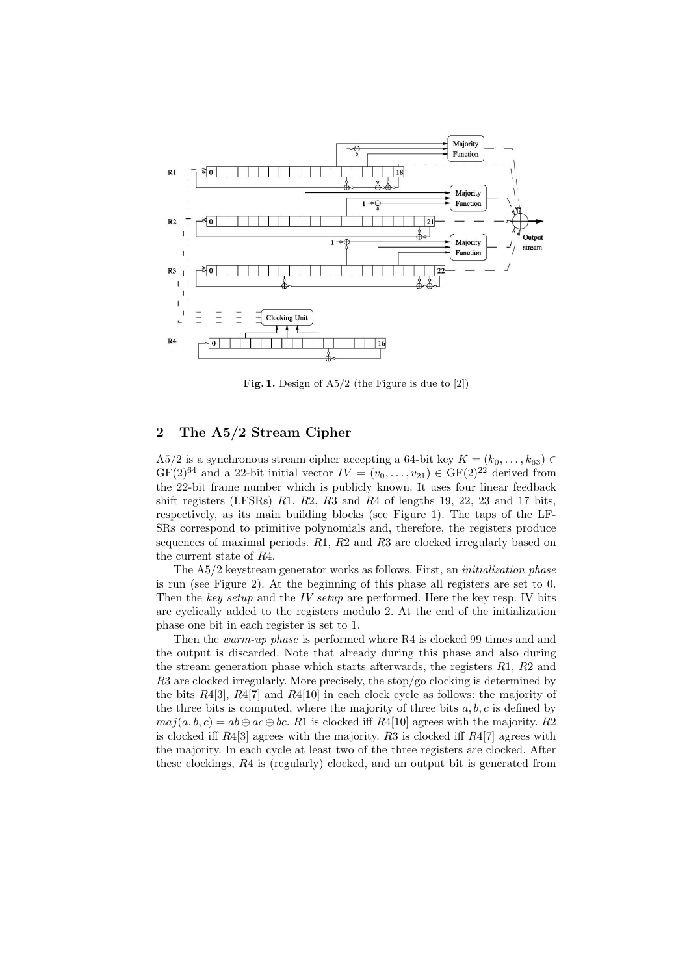

Fig. 1. Design of A5/2 (the Figure is due to [2])

# 2 The A5/2 Stream Cipher

A5/2 is a synchronous stream cipher accepting a 64-bit key  $K = (k_0, \ldots, k_{63}) \in$  $GF(2)^{64}$  and a 22-bit initial vector  $IV = (v_0, \ldots, v_{21}) \in GF(2)^{22}$  derived from the 22-bit frame number which is publicly known. It uses four linear feedback shift registers (LFSRs)  $R1$ ,  $R2$ ,  $R3$  and  $R4$  of lengths 19, 22, 23 and 17 bits, respectively, as its main building blocks (see Figure 1). The taps of the LF-SRs correspond to primitive polynomials and, therefore, the registers produce sequences of maximal periods. R1, R2 and R3 are clocked irregularly based on the current state of R4.

The A5/2 keystream generator works as follows. First, an initialization phase is run (see Figure 2). At the beginning of this phase all registers are set to 0. Then the key setup and the IV setup are performed. Here the key resp. IV bits are cyclically added to the registers modulo 2. At the end of the initialization phase one bit in each register is set to 1.

Then the warm-up phase is performed where R4 is clocked 99 times and and the output is discarded. Note that already during this phase and also during the stream generation phase which starts afterwards, the registers  $R1, R2$  and R3 are clocked irregularly. More precisely, the stop/go clocking is determined by the bits  $R4[3]$ ,  $R4[7]$  and  $R4[10]$  in each clock cycle as follows: the majority of the three bits is computed, where the majority of three bits  $a, b, c$  is defined by  $maj(a, b, c) = ab \oplus ac \oplus bc$ . R1 is clocked iff R4[10] agrees with the majority. R2 is clocked iff  $R4[3]$  agrees with the majority.  $R3$  is clocked iff  $R4[7]$  agrees with the majority. In each cycle at least two of the three registers are clocked. After these clockings, R4 is (regularly) clocked, and an output bit is generated from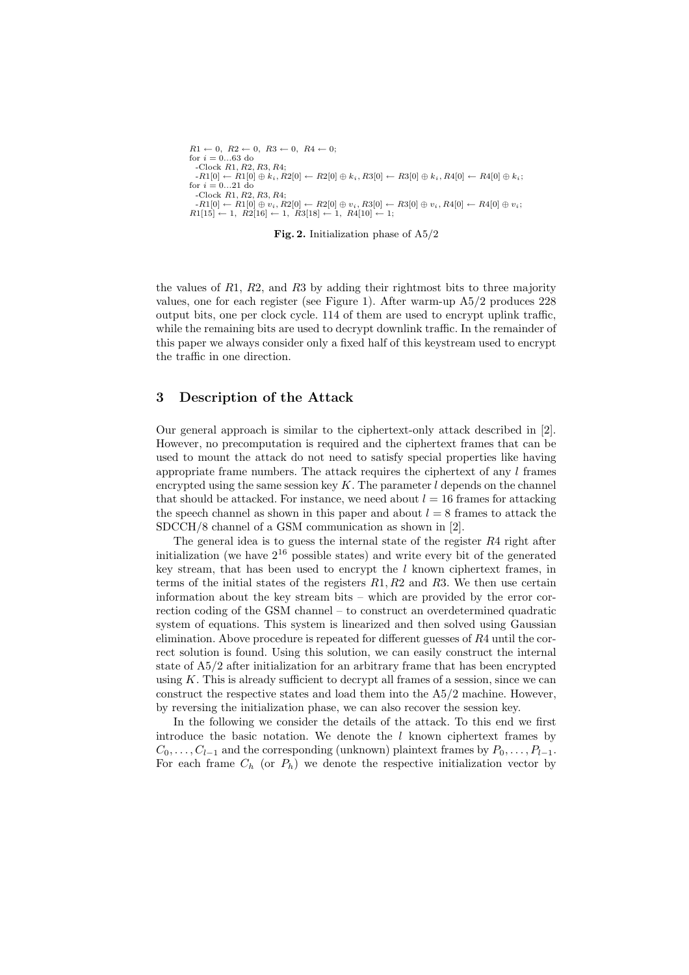```
R1 \leftarrow 0, R2 \leftarrow 0, R3 \leftarrow 0, R4 \leftarrow 0;for i = 0...63 do
  -Clock R1, R2, R3, R4;
  -RL[0] \leftarrow R1[0] \oplus k_i, R2[0] \leftarrow R2[0] \oplus k_i, R3[0] \leftarrow R3[0] \oplus k_i, R4[0] \leftarrow R4[0] \oplus k_i;for i = 0...21 do
  -Clock R1, R2, R3, R4;
  -RL[0] \leftarrow R1[0] \oplus v_i, R2[0] \leftarrow R2[0] \oplus v_i, R3[0] \leftarrow R3[0] \oplus v_i, R4[0] \leftarrow R4[0] \oplus v_i;R1[15] \leftarrow 1, R2[16] \leftarrow 1, R3[18] \leftarrow 1, R4[10] \leftarrow 1;
```
Fig. 2. Initialization phase of A5/2

the values of  $R1, R2$ , and  $R3$  by adding their rightmost bits to three majority values, one for each register (see Figure 1). After warm-up A5/2 produces 228 output bits, one per clock cycle. 114 of them are used to encrypt uplink traffic, while the remaining bits are used to decrypt downlink traffic. In the remainder of this paper we always consider only a fixed half of this keystream used to encrypt the traffic in one direction.

# 3 Description of the Attack

Our general approach is similar to the ciphertext-only attack described in [2]. However, no precomputation is required and the ciphertext frames that can be used to mount the attack do not need to satisfy special properties like having appropriate frame numbers. The attack requires the ciphertext of any  $l$  frames encrypted using the same session key  $K$ . The parameter  $l$  depends on the channel that should be attacked. For instance, we need about  $l = 16$  frames for attacking the speech channel as shown in this paper and about  $l = 8$  frames to attack the SDCCH/8 channel of a GSM communication as shown in [2].

The general idea is to guess the internal state of the register  $R4$  right after initialization (we have  $2^{16}$  possible states) and write every bit of the generated key stream, that has been used to encrypt the  $l$  known ciphertext frames, in terms of the initial states of the registers  $R1, R2$  and  $R3$ . We then use certain information about the key stream bits – which are provided by the error correction coding of the GSM channel – to construct an overdetermined quadratic system of equations. This system is linearized and then solved using Gaussian elimination. Above procedure is repeated for different guesses of R4 until the correct solution is found. Using this solution, we can easily construct the internal state of A5/2 after initialization for an arbitrary frame that has been encrypted using  $K$ . This is already sufficient to decrypt all frames of a session, since we can construct the respective states and load them into the A5/2 machine. However, by reversing the initialization phase, we can also recover the session key.

In the following we consider the details of the attack. To this end we first introduce the basic notation. We denote the  $l$  known ciphertext frames by  $C_0, \ldots, C_{l-1}$  and the corresponding (unknown) plaintext frames by  $P_0, \ldots, P_{l-1}$ . For each frame  $C_h$  (or  $P_h$ ) we denote the respective initialization vector by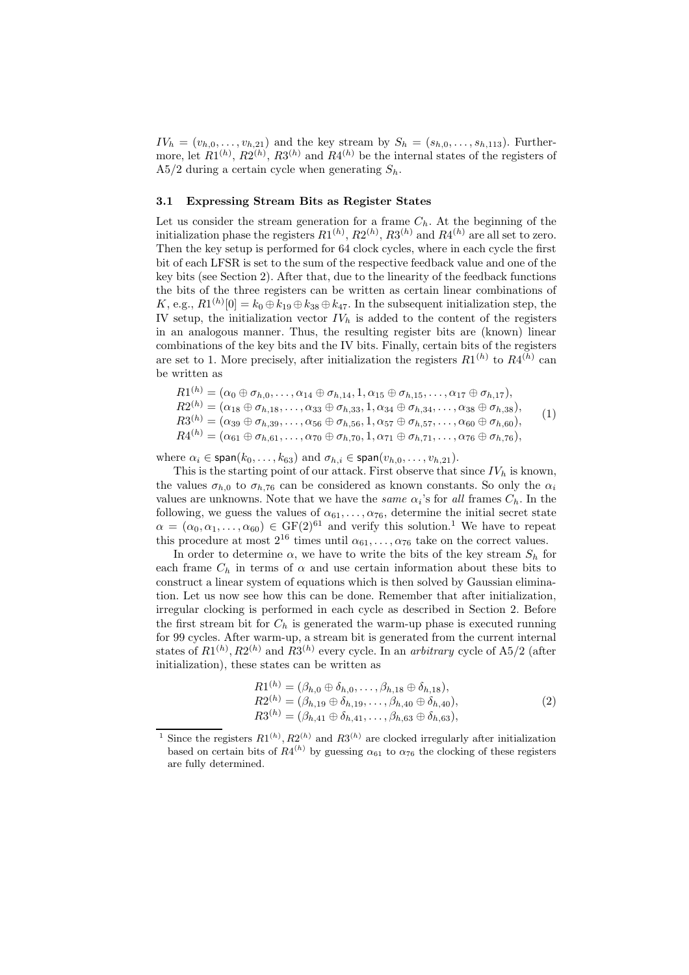$IV<sub>h</sub> = (v<sub>h,0</sub>, ..., v<sub>h,21</sub>)$  and the key stream by  $S<sub>h</sub> = (s<sub>h,0</sub>, ..., s<sub>h,113</sub>)$ . Furthermore, let  $R1^{(h)}$ ,  $R2^{(h)}$ ,  $R3^{(h)}$  and  $R4^{(h)}$  be the internal states of the registers of A5/2 during a certain cycle when generating  $S_h$ .

### 3.1 Expressing Stream Bits as Register States

Let us consider the stream generation for a frame  $C_h$ . At the beginning of the initialization phase the registers  $R1^{(h)}$ ,  $R2^{(h)}$ ,  $R3^{(h)}$  and  $R4^{(h)}$  are all set to zero. Then the key setup is performed for 64 clock cycles, where in each cycle the first bit of each LFSR is set to the sum of the respective feedback value and one of the key bits (see Section 2). After that, due to the linearity of the feedback functions the bits of the three registers can be written as certain linear combinations of K, e.g.,  $R1^{(h)}[0] = k_0 \oplus k_{19} \oplus k_{38} \oplus k_{47}$ . In the subsequent initialization step, the IV setup, the initialization vector  $IV<sub>h</sub>$  is added to the content of the registers in an analogous manner. Thus, the resulting register bits are (known) linear combinations of the key bits and the IV bits. Finally, certain bits of the registers are set to 1. More precisely, after initialization the registers  $R1^{(h)}$  to  $R4^{(h)}$  can be written as

$$
R1^{(h)} = (\alpha_0 \oplus \sigma_{h,0}, \ldots, \alpha_{14} \oplus \sigma_{h,14}, 1, \alpha_{15} \oplus \sigma_{h,15}, \ldots, \alpha_{17} \oplus \sigma_{h,17}),
$$
  
\n
$$
R2^{(h)} = (\alpha_{18} \oplus \sigma_{h,18}, \ldots, \alpha_{33} \oplus \sigma_{h,33}, 1, \alpha_{34} \oplus \sigma_{h,34}, \ldots, \alpha_{38} \oplus \sigma_{h,38}),
$$
  
\n
$$
R3^{(h)} = (\alpha_{39} \oplus \sigma_{h,39}, \ldots, \alpha_{56} \oplus \sigma_{h,56}, 1, \alpha_{57} \oplus \sigma_{h,57}, \ldots, \alpha_{60} \oplus \sigma_{h,60}),
$$
  
\n
$$
R4^{(h)} = (\alpha_{61} \oplus \sigma_{h,61}, \ldots, \alpha_{70} \oplus \sigma_{h,70}, 1, \alpha_{71} \oplus \sigma_{h,71}, \ldots, \alpha_{76} \oplus \sigma_{h,76}),
$$
  
\n(1)

where  $\alpha_i \in \text{span}(k_0, \ldots, k_{63})$  and  $\sigma_{h,i} \in \text{span}(v_{h,0}, \ldots, v_{h,21})$ .

This is the starting point of our attack. First observe that since  $IV<sub>h</sub>$  is known, the values  $\sigma_{h,0}$  to  $\sigma_{h,76}$  can be considered as known constants. So only the  $\alpha_i$ values are unknowns. Note that we have the *same*  $\alpha_i$ 's for all frames  $C_h$ . In the following, we guess the values of  $\alpha_{61}, \ldots, \alpha_{76}$ , determine the initial secret state  $\alpha = (\alpha_0, \alpha_1, \ldots, \alpha_{60}) \in \text{GF}(2)^{61}$  and verify this solution.<sup>1</sup> We have to repeat this procedure at most  $2^{16}$  times until  $\alpha_{61}, \ldots, \alpha_{76}$  take on the correct values.

In order to determine  $\alpha$ , we have to write the bits of the key stream  $S_h$  for each frame  $C_h$  in terms of  $\alpha$  and use certain information about these bits to construct a linear system of equations which is then solved by Gaussian elimination. Let us now see how this can be done. Remember that after initialization, irregular clocking is performed in each cycle as described in Section 2. Before the first stream bit for  $C_h$  is generated the warm-up phase is executed running for 99 cycles. After warm-up, a stream bit is generated from the current internal states of  $R1^{(h)}$ ,  $R2^{(h)}$  and  $R3^{(h)}$  every cycle. In an *arbitrary* cycle of A5/2 (after initialization), these states can be written as

$$
R1^{(h)} = (\beta_{h,0} \oplus \delta_{h,0}, \dots, \beta_{h,18} \oplus \delta_{h,18}),R2^{(h)} = (\beta_{h,19} \oplus \delta_{h,19}, \dots, \beta_{h,40} \oplus \delta_{h,40}),R3^{(h)} = (\beta_{h,41} \oplus \delta_{h,41}, \dots, \beta_{h,63} \oplus \delta_{h,63}),
$$
\n(2)

<sup>&</sup>lt;sup>1</sup> Since the registers  $R1^{(h)}$ ,  $R2^{(h)}$  and  $R3^{(h)}$  are clocked irregularly after initialization based on certain bits of  $R4^{(h)}$  by guessing  $\alpha_{61}$  to  $\alpha_{76}$  the clocking of these registers are fully determined.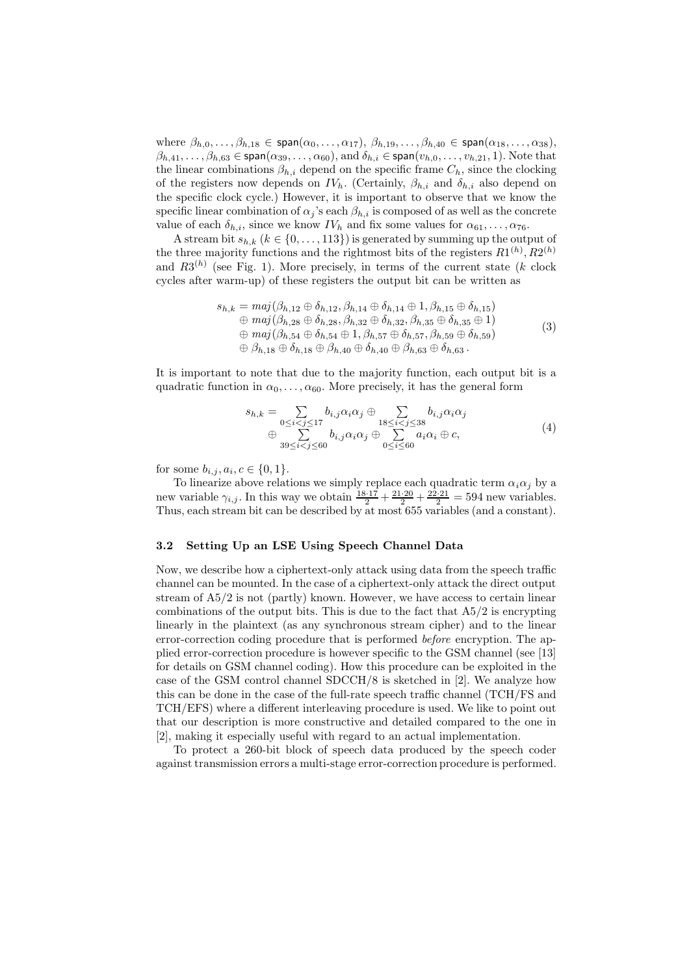where  $\beta_{h,0},\ldots,\beta_{h,18} \in \text{span}(\alpha_0,\ldots,\alpha_{17}), \beta_{h,19},\ldots,\beta_{h,40} \in \text{span}(\alpha_{18},\ldots,\alpha_{38}),$  $\beta_{h,41},\ldots,\beta_{h,63}\in\mathsf{span}(\alpha_{39},\ldots,\alpha_{60}),\text{and }\delta_{h,i}\in\mathsf{span}(v_{h,0},\ldots,v_{h,21},1).$  Note that the linear combinations  $\beta_{h,i}$  depend on the specific frame  $C_h$ , since the clocking of the registers now depends on  $IV_h$ . (Certainly,  $\beta_{h,i}$  and  $\delta_{h,i}$  also depend on the specific clock cycle.) However, it is important to observe that we know the specific linear combination of  $\alpha_i$ 's each  $\beta_{h,i}$  is composed of as well as the concrete value of each  $\delta_{h,i}$ , since we know  $IV_h$  and fix some values for  $\alpha_{61}, \ldots, \alpha_{76}$ .

A stream bit  $s_{h,k}$   $(k \in \{0, \ldots, 113\})$  is generated by summing up the output of the three majority functions and the rightmost bits of the registers  $R1^{(h)}$ ,  $R2^{(h)}$ and  $R3^{(h)}$  (see Fig. 1). More precisely, in terms of the current state (k clock cycles after warm-up) of these registers the output bit can be written as

$$
s_{h,k} = maj(\beta_{h,12} \oplus \delta_{h,12}, \beta_{h,14} \oplus \delta_{h,14} \oplus 1, \beta_{h,15} \oplus \delta_{h,15})
$$
  
\n
$$
\oplus maj(\beta_{h,28} \oplus \delta_{h,28}, \beta_{h,32} \oplus \delta_{h,32}, \beta_{h,35} \oplus \delta_{h,35} \oplus 1)
$$
  
\n
$$
\oplus maj(\beta_{h,54} \oplus \delta_{h,54} \oplus 1, \beta_{h,57} \oplus \delta_{h,57}, \beta_{h,59} \oplus \delta_{h,59})
$$
  
\n
$$
\oplus \beta_{h,18} \oplus \delta_{h,18} \oplus \beta_{h,40} \oplus \delta_{h,40} \oplus \beta_{h,63} \oplus \delta_{h,63}.
$$
  
\n(3)

It is important to note that due to the majority function, each output bit is a quadratic function in  $\alpha_0, \ldots, \alpha_{60}$ . More precisely, it has the general form

$$
s_{h,k} = \sum_{0 \le i < j \le 17} b_{i,j} \alpha_i \alpha_j \oplus \sum_{18 \le i < j \le 38} b_{i,j} \alpha_i \alpha_j
$$
\n
$$
\oplus \sum_{39 \le i < j \le 60} b_{i,j} \alpha_i \alpha_j \oplus \sum_{0 \le i \le 60} a_i \alpha_i \oplus c,\tag{4}
$$

for some  $b_{i,j}, a_i, c \in \{0, 1\}.$ 

To linearize above relations we simply replace each quadratic term  $\alpha_i \alpha_j$  by a new variable  $\gamma_{i,j}$ . In this way we obtain  $\frac{18 \cdot 17}{2} + \frac{21 \cdot 20}{2} + \frac{22 \cdot 21}{2} = 594$  new variables. Thus, each stream bit can be described by at most 655 variables (and a constant).

# 3.2 Setting Up an LSE Using Speech Channel Data

Now, we describe how a ciphertext-only attack using data from the speech traffic channel can be mounted. In the case of a ciphertext-only attack the direct output stream of A5/2 is not (partly) known. However, we have access to certain linear combinations of the output bits. This is due to the fact that  $A5/2$  is encrypting linearly in the plaintext (as any synchronous stream cipher) and to the linear error-correction coding procedure that is performed before encryption. The applied error-correction procedure is however specific to the GSM channel (see [13] for details on GSM channel coding). How this procedure can be exploited in the case of the GSM control channel SDCCH/8 is sketched in [2]. We analyze how this can be done in the case of the full-rate speech traffic channel (TCH/FS and TCH/EFS) where a different interleaving procedure is used. We like to point out that our description is more constructive and detailed compared to the one in [2], making it especially useful with regard to an actual implementation.

To protect a 260-bit block of speech data produced by the speech coder against transmission errors a multi-stage error-correction procedure is performed.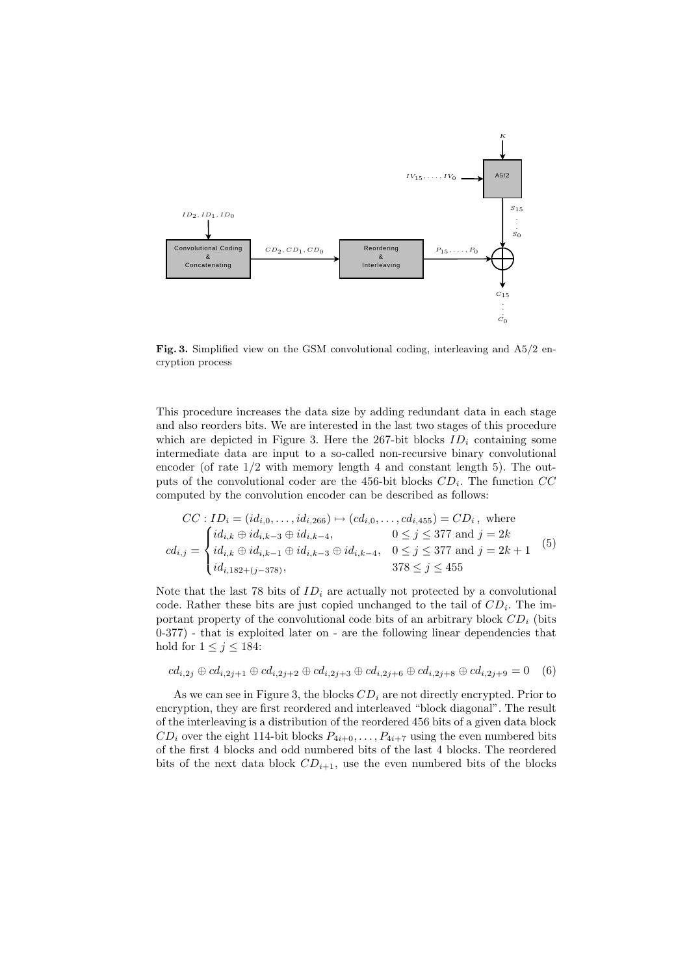

Fig. 3. Simplified view on the GSM convolutional coding, interleaving and A5/2 encryption process

This procedure increases the data size by adding redundant data in each stage and also reorders bits. We are interested in the last two stages of this procedure which are depicted in Figure 3. Here the 267-bit blocks  $ID_i$  containing some intermediate data are input to a so-called non-recursive binary convolutional encoder (of rate  $1/2$  with memory length 4 and constant length 5). The outputs of the convolutional coder are the 456-bit blocks  $CD<sub>i</sub>$ . The function  $CC$ computed by the convolution encoder can be described as follows:

$$
CC: ID_i = (id_{i,0},...,id_{i,266}) \mapsto (cd_{i,0},...,cd_{i,455}) = CD_i, \text{ where}
$$
  
\n
$$
cd_{i,j} = \begin{cases} id_{i,k} \oplus id_{i,k-3} \oplus id_{i,k-4}, & 0 \le j \le 377 \text{ and } j = 2k \\ id_{i,k} \oplus id_{i,k-1} \oplus id_{i,k-3} \oplus id_{i,k-4}, & 0 \le j \le 377 \text{ and } j = 2k+1 \\ id_{i,182+(j-378)}, & 378 \le j \le 455 \end{cases}
$$
(5)

Note that the last 78 bits of  $ID_i$  are actually not protected by a convolutional code. Rather these bits are just copied unchanged to the tail of  $CD<sub>i</sub>$ . The important property of the convolutional code bits of an arbitrary block  $CD<sub>i</sub>$  (bits 0-377) - that is exploited later on - are the following linear dependencies that hold for  $1 \leq j \leq 184$ :

$$
cd_{i,2j} \oplus cd_{i,2j+1} \oplus cd_{i,2j+2} \oplus cd_{i,2j+3} \oplus cd_{i,2j+6} \oplus cd_{i,2j+8} \oplus cd_{i,2j+9} = 0
$$
 (6)

As we can see in Figure 3, the blocks  $CD_i$  are not directly encrypted. Prior to encryption, they are first reordered and interleaved "block diagonal". The result of the interleaving is a distribution of the reordered 456 bits of a given data block  $CD_i$  over the eight 114-bit blocks  $P_{4i+0}, \ldots, P_{4i+7}$  using the even numbered bits of the first 4 blocks and odd numbered bits of the last 4 blocks. The reordered bits of the next data block  $CD_{i+1}$ , use the even numbered bits of the blocks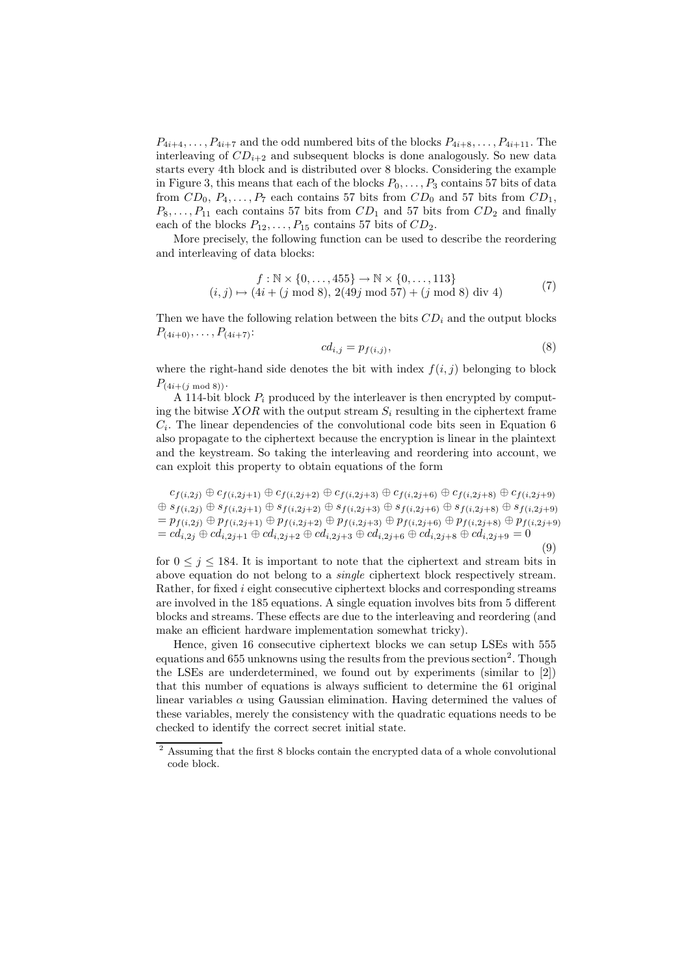$P_{4i+4}, \ldots, P_{4i+7}$  and the odd numbered bits of the blocks  $P_{4i+8}, \ldots, P_{4i+11}$ . The interleaving of  $CD_{i+2}$  and subsequent blocks is done analogously. So new data starts every 4th block and is distributed over 8 blocks. Considering the example in Figure 3, this means that each of the blocks  $P_0, \ldots, P_3$  contains 57 bits of data from  $CD_0$ ,  $P_4, \ldots, P_7$  each contains 57 bits from  $CD_0$  and 57 bits from  $CD_1$ ,  $P_8, \ldots, P_{11}$  each contains 57 bits from  $CD_1$  and 57 bits from  $CD_2$  and finally each of the blocks  $P_{12}, \ldots, P_{15}$  contains 57 bits of  $CD_2$ .

More precisely, the following function can be used to describe the reordering and interleaving of data blocks:

$$
f: \mathbb{N} \times \{0, \dots, 455\} \to \mathbb{N} \times \{0, \dots, 113\}
$$
  
(*i*, *j*)  $\mapsto$  (4*i* + (*j* mod 8), 2(49*j* mod 57) + (*j* mod 8) div 4) (7)

Then we have the following relation between the bits  $CD_i$  and the output blocks  $P_{(4i+0)}, \ldots, P_{(4i+7)}$ :

$$
cd_{i,j} = p_{f(i,j)},\tag{8}
$$

where the right-hand side denotes the bit with index  $f(i, j)$  belonging to block  $P_{(4i+(j \mod 8))}$ .

A 114-bit block  $P_i$  produced by the interleaver is then encrypted by computing the bitwise  $XOR$  with the output stream  $S_i$  resulting in the ciphertext frame  $C_i$ . The linear dependencies of the convolutional code bits seen in Equation 6 also propagate to the ciphertext because the encryption is linear in the plaintext and the keystream. So taking the interleaving and reordering into account, we can exploit this property to obtain equations of the form

 $c_{f(i,2j)} \oplus c_{f(i,2j+1)} \oplus c_{f(i,2j+2)} \oplus c_{f(i,2j+3)} \oplus c_{f(i,2j+6)} \oplus c_{f(i,2j+8)} \oplus c_{f(i,2j+9)}$ ⊕  $s_{f(i,2j)} \oplus s_{f(i,2j+1)} \oplus s_{f(i,2j+2)} \oplus s_{f(i,2j+3)} \oplus s_{f(i,2j+6)} \oplus s_{f(i,2j+8)} \oplus s_{f(i,2j+9)}$  $=p_{f(i,2j)} \oplus p_{f(i,2j+1)} \oplus p_{f(i,2j+2)} \oplus p_{f(i,2j+3)} \oplus p_{f(i,2j+6)} \oplus p_{f(i,2j+8)} \oplus p_{f(i,2j+9)}$  $= cd_{i,2j} \oplus cd_{i,2j+1} \oplus cd_{i,2j+2} \oplus cd_{i,2j+3} \oplus cd_{i,2j+6} \oplus cd_{i,2j+8} \oplus cd_{i,2j+9} = 0$ (9)

for  $0 \leq j \leq 184$ . It is important to note that the ciphertext and stream bits in above equation do not belong to a single ciphertext block respectively stream. Rather, for fixed  $i$  eight consecutive ciphertext blocks and corresponding streams are involved in the 185 equations. A single equation involves bits from 5 different blocks and streams. These effects are due to the interleaving and reordering (and make an efficient hardware implementation somewhat tricky).

Hence, given 16 consecutive ciphertext blocks we can setup LSEs with 555 equations and 655 unknowns using the results from the previous section<sup>2</sup>. Though the LSEs are underdetermined, we found out by experiments (similar to [2]) that this number of equations is always sufficient to determine the 61 original linear variables  $\alpha$  using Gaussian elimination. Having determined the values of these variables, merely the consistency with the quadratic equations needs to be checked to identify the correct secret initial state.

<sup>2</sup> Assuming that the first 8 blocks contain the encrypted data of a whole convolutional code block.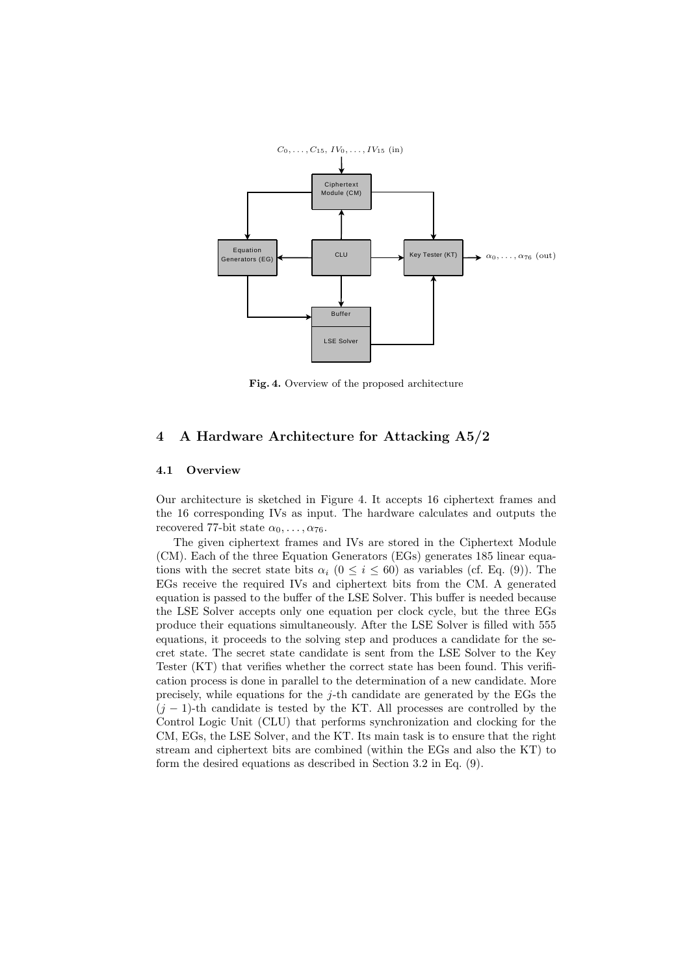

Fig. 4. Overview of the proposed architecture

# 4 A Hardware Architecture for Attacking A5/2

## 4.1 Overview

Our architecture is sketched in Figure 4. It accepts 16 ciphertext frames and the 16 corresponding IVs as input. The hardware calculates and outputs the recovered 77-bit state  $\alpha_0, \ldots, \alpha_{76}$ .

The given ciphertext frames and IVs are stored in the Ciphertext Module (CM). Each of the three Equation Generators (EGs) generates 185 linear equations with the secret state bits  $\alpha_i$  ( $0 \le i \le 60$ ) as variables (cf. Eq. (9)). The EGs receive the required IVs and ciphertext bits from the CM. A generated equation is passed to the buffer of the LSE Solver. This buffer is needed because the LSE Solver accepts only one equation per clock cycle, but the three EGs produce their equations simultaneously. After the LSE Solver is filled with 555 equations, it proceeds to the solving step and produces a candidate for the secret state. The secret state candidate is sent from the LSE Solver to the Key Tester (KT) that verifies whether the correct state has been found. This verification process is done in parallel to the determination of a new candidate. More precisely, while equations for the  $j$ -th candidate are generated by the EGs the  $(j - 1)$ -th candidate is tested by the KT. All processes are controlled by the Control Logic Unit (CLU) that performs synchronization and clocking for the CM, EGs, the LSE Solver, and the KT. Its main task is to ensure that the right stream and ciphertext bits are combined (within the EGs and also the KT) to form the desired equations as described in Section 3.2 in Eq. (9).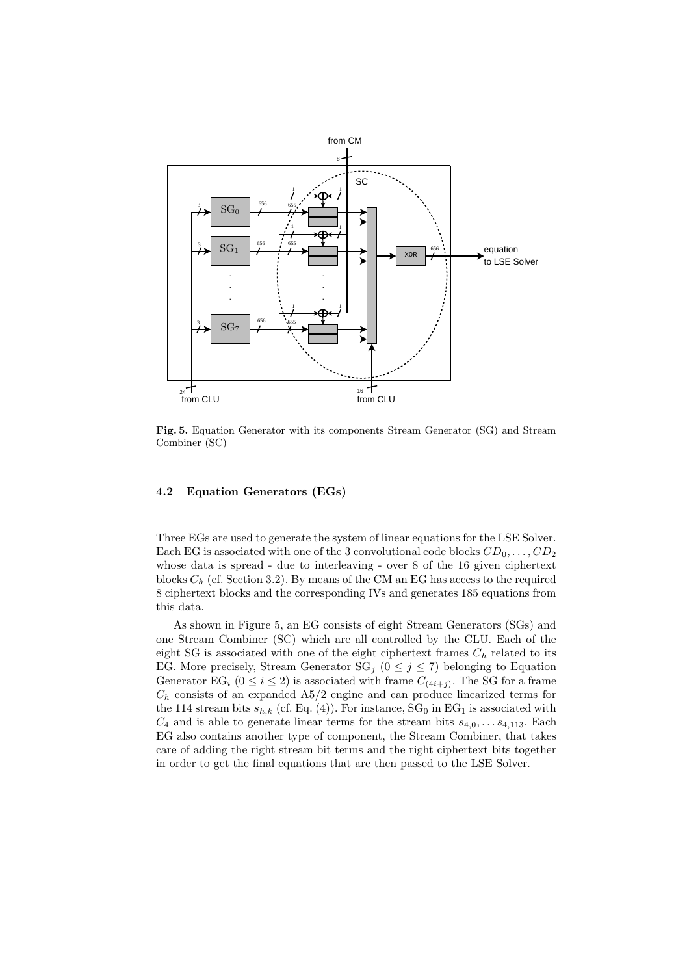

Fig. 5. Equation Generator with its components Stream Generator (SG) and Stream Combiner (SC)

# 4.2 Equation Generators (EGs)

Three EGs are used to generate the system of linear equations for the LSE Solver. Each EG is associated with one of the 3 convolutional code blocks  $CD_0, \ldots, CD_2$ whose data is spread - due to interleaving - over 8 of the 16 given ciphertext blocks  $C_h$  (cf. Section 3.2). By means of the CM an EG has access to the required 8 ciphertext blocks and the corresponding IVs and generates 185 equations from this data.

As shown in Figure 5, an EG consists of eight Stream Generators (SGs) and one Stream Combiner (SC) which are all controlled by the CLU. Each of the eight SG is associated with one of the eight ciphertext frames  $C_h$  related to its EG. More precisely, Stream Generator  $SG_j$  ( $0 \leq j \leq 7$ ) belonging to Equation Generator EG<sub>i</sub>  $(0 \le i \le 2)$  is associated with frame  $C_{(4i+j)}$ . The SG for a frame  $C_h$  consists of an expanded A5/2 engine and can produce linearized terms for the 114 stream bits  $s_{h,k}$  (cf. Eq. (4)). For instance,  $SG_0$  in  $EG_1$  is associated with  $C_4$  and is able to generate linear terms for the stream bits  $s_{4,0}, \ldots s_{4,113}$ . Each EG also contains another type of component, the Stream Combiner, that takes care of adding the right stream bit terms and the right ciphertext bits together in order to get the final equations that are then passed to the LSE Solver.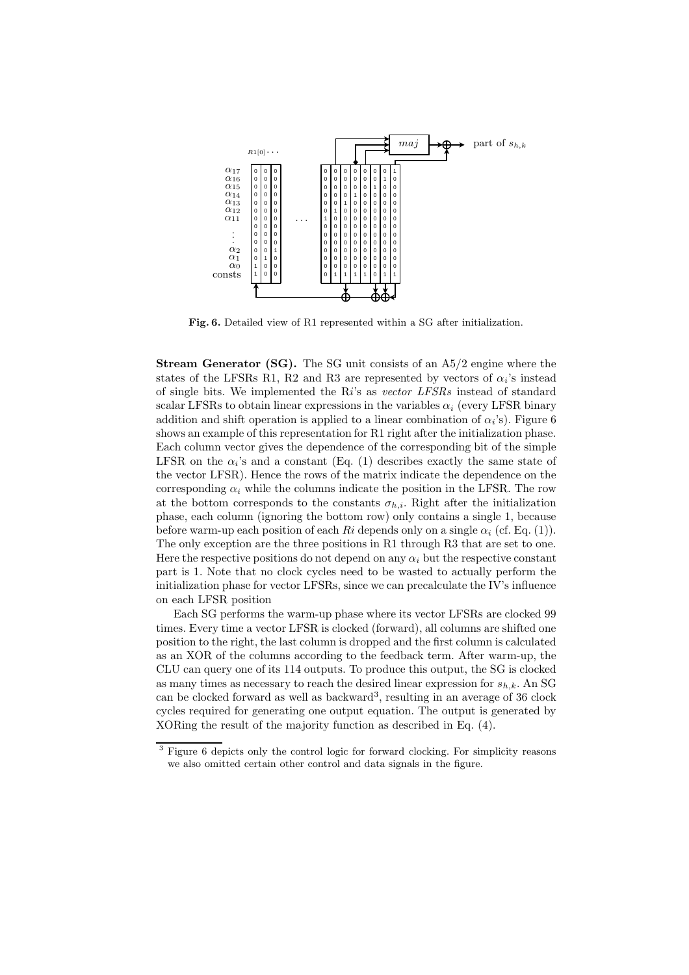

Fig. 6. Detailed view of R1 represented within a SG after initialization.

Stream Generator (SG). The SG unit consists of an A5/2 engine where the states of the LFSRs R1, R2 and R3 are represented by vectors of  $\alpha_i$ 's instead of single bits. We implemented the  $Ri$ 's as vector LFSRs instead of standard scalar LFSRs to obtain linear expressions in the variables  $\alpha_i$  (every LFSR binary addition and shift operation is applied to a linear combination of  $\alpha_i$ 's). Figure 6 shows an example of this representation for R1 right after the initialization phase. Each column vector gives the dependence of the corresponding bit of the simple LFSR on the  $\alpha_i$ 's and a constant (Eq. (1) describes exactly the same state of the vector LFSR). Hence the rows of the matrix indicate the dependence on the corresponding  $\alpha_i$  while the columns indicate the position in the LFSR. The row at the bottom corresponds to the constants  $\sigma_{h,i}$ . Right after the initialization phase, each column (ignoring the bottom row) only contains a single 1, because before warm-up each position of each Ri depends only on a single  $\alpha_i$  (cf. Eq. (1)). The only exception are the three positions in R1 through R3 that are set to one. Here the respective positions do not depend on any  $\alpha_i$  but the respective constant part is 1. Note that no clock cycles need to be wasted to actually perform the initialization phase for vector LFSRs, since we can precalculate the IV's influence on each LFSR position

Each SG performs the warm-up phase where its vector LFSRs are clocked 99 times. Every time a vector LFSR is clocked (forward), all columns are shifted one position to the right, the last column is dropped and the first column is calculated as an XOR of the columns according to the feedback term. After warm-up, the CLU can query one of its 114 outputs. To produce this output, the SG is clocked as many times as necessary to reach the desired linear expression for  $s_{h,k}$ . An SG can be clocked forward as well as backward<sup>3</sup>, resulting in an average of 36 clock cycles required for generating one output equation. The output is generated by XORing the result of the majority function as described in Eq. (4).

 Figure 6 depicts only the control logic for forward clocking. For simplicity reasons we also omitted certain other control and data signals in the figure.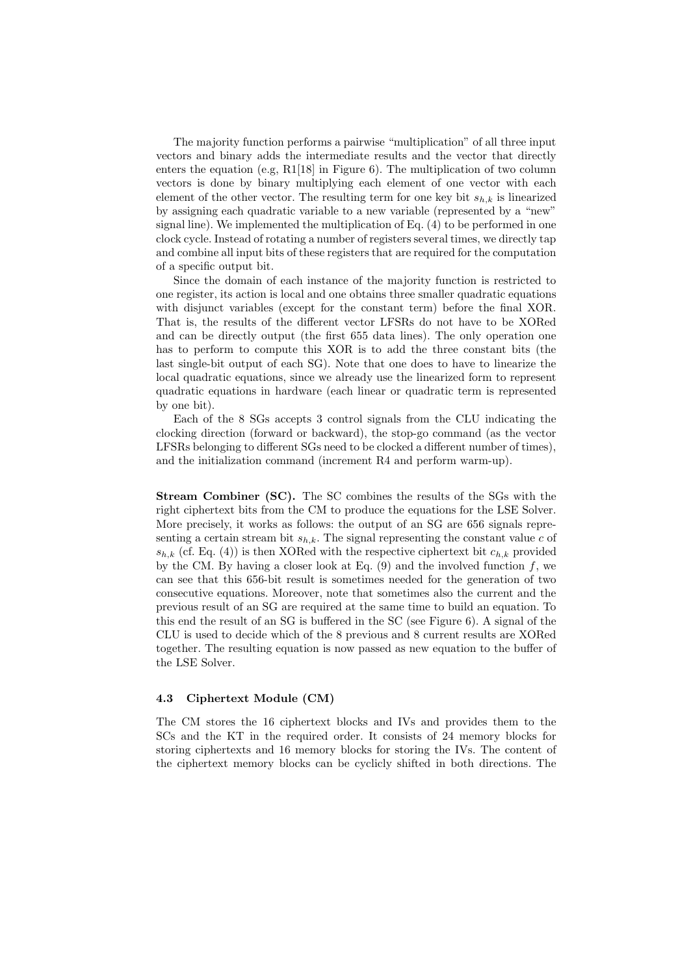The majority function performs a pairwise "multiplication" of all three input vectors and binary adds the intermediate results and the vector that directly enters the equation (e.g, R1[18] in Figure 6). The multiplication of two column vectors is done by binary multiplying each element of one vector with each element of the other vector. The resulting term for one key bit  $s_{h,k}$  is linearized by assigning each quadratic variable to a new variable (represented by a "new" signal line). We implemented the multiplication of Eq. (4) to be performed in one clock cycle. Instead of rotating a number of registers several times, we directly tap and combine all input bits of these registers that are required for the computation of a specific output bit.

Since the domain of each instance of the majority function is restricted to one register, its action is local and one obtains three smaller quadratic equations with disjunct variables (except for the constant term) before the final XOR. That is, the results of the different vector LFSRs do not have to be XORed and can be directly output (the first 655 data lines). The only operation one has to perform to compute this XOR is to add the three constant bits (the last single-bit output of each SG). Note that one does to have to linearize the local quadratic equations, since we already use the linearized form to represent quadratic equations in hardware (each linear or quadratic term is represented by one bit).

Each of the 8 SGs accepts 3 control signals from the CLU indicating the clocking direction (forward or backward), the stop-go command (as the vector LFSRs belonging to different SGs need to be clocked a different number of times), and the initialization command (increment R4 and perform warm-up).

Stream Combiner (SC). The SC combines the results of the SGs with the right ciphertext bits from the CM to produce the equations for the LSE Solver. More precisely, it works as follows: the output of an SG are 656 signals representing a certain stream bit  $s_{h,k}$ . The signal representing the constant value c of  $s_{h,k}$  (cf. Eq. (4)) is then XORed with the respective ciphertext bit  $c_{h,k}$  provided by the CM. By having a closer look at Eq.  $(9)$  and the involved function f, we can see that this 656-bit result is sometimes needed for the generation of two consecutive equations. Moreover, note that sometimes also the current and the previous result of an SG are required at the same time to build an equation. To this end the result of an SG is buffered in the SC (see Figure 6). A signal of the CLU is used to decide which of the 8 previous and 8 current results are XORed together. The resulting equation is now passed as new equation to the buffer of the LSE Solver.

# 4.3 Ciphertext Module (CM)

The CM stores the 16 ciphertext blocks and IVs and provides them to the SCs and the KT in the required order. It consists of 24 memory blocks for storing ciphertexts and 16 memory blocks for storing the IVs. The content of the ciphertext memory blocks can be cyclicly shifted in both directions. The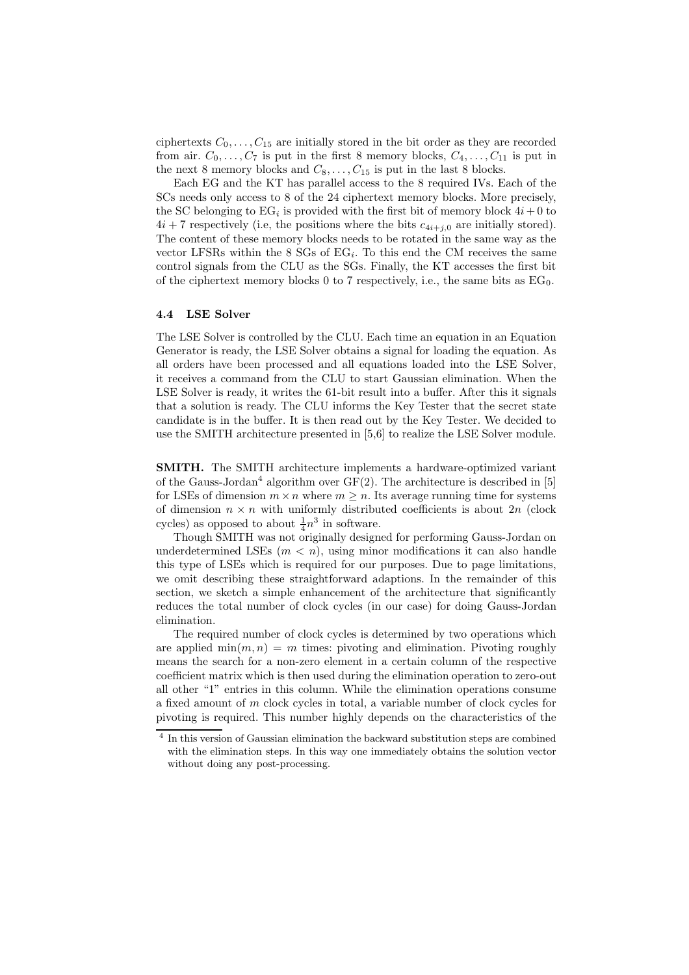ciphertexts  $C_0, \ldots, C_{15}$  are initially stored in the bit order as they are recorded from air.  $C_0, \ldots, C_7$  is put in the first 8 memory blocks,  $C_4, \ldots, C_{11}$  is put in the next 8 memory blocks and  $C_8, \ldots, C_{15}$  is put in the last 8 blocks.

Each EG and the KT has parallel access to the 8 required IVs. Each of the SCs needs only access to 8 of the 24 ciphertext memory blocks. More precisely, the SC belonging to  $EG_i$  is provided with the first bit of memory block  $4i + 0$  to  $4i + 7$  respectively (i.e, the positions where the bits  $c_{4i+j,0}$  are initially stored). The content of these memory blocks needs to be rotated in the same way as the vector LFSRs within the  $8$  SGs of EG<sub>i</sub>. To this end the CM receives the same control signals from the CLU as the SGs. Finally, the KT accesses the first bit of the ciphertext memory blocks 0 to 7 respectively, i.e., the same bits as  $EG_0$ .

## 4.4 LSE Solver

The LSE Solver is controlled by the CLU. Each time an equation in an Equation Generator is ready, the LSE Solver obtains a signal for loading the equation. As all orders have been processed and all equations loaded into the LSE Solver, it receives a command from the CLU to start Gaussian elimination. When the LSE Solver is ready, it writes the 61-bit result into a buffer. After this it signals that a solution is ready. The CLU informs the Key Tester that the secret state candidate is in the buffer. It is then read out by the Key Tester. We decided to use the SMITH architecture presented in [5,6] to realize the LSE Solver module.

SMITH. The SMITH architecture implements a hardware-optimized variant of the Gauss-Jordan<sup>4</sup> algorithm over  $GF(2)$ . The architecture is described in [5] for LSEs of dimension  $m \times n$  where  $m > n$ . Its average running time for systems of dimension  $n \times n$  with uniformly distributed coefficients is about  $2n$  (clock cycles) as opposed to about  $\frac{1}{4}n^3$  in software.

Though SMITH was not originally designed for performing Gauss-Jordan on underdetermined LSEs  $(m < n)$ , using minor modifications it can also handle this type of LSEs which is required for our purposes. Due to page limitations, we omit describing these straightforward adaptions. In the remainder of this section, we sketch a simple enhancement of the architecture that significantly reduces the total number of clock cycles (in our case) for doing Gauss-Jordan elimination.

The required number of clock cycles is determined by two operations which are applied  $\min(m, n) = m$  times: pivoting and elimination. Pivoting roughly means the search for a non-zero element in a certain column of the respective coefficient matrix which is then used during the elimination operation to zero-out all other "1" entries in this column. While the elimination operations consume a fixed amount of m clock cycles in total, a variable number of clock cycles for pivoting is required. This number highly depends on the characteristics of the

<sup>&</sup>lt;sup>4</sup> In this version of Gaussian elimination the backward substitution steps are combined with the elimination steps. In this way one immediately obtains the solution vector without doing any post-processing.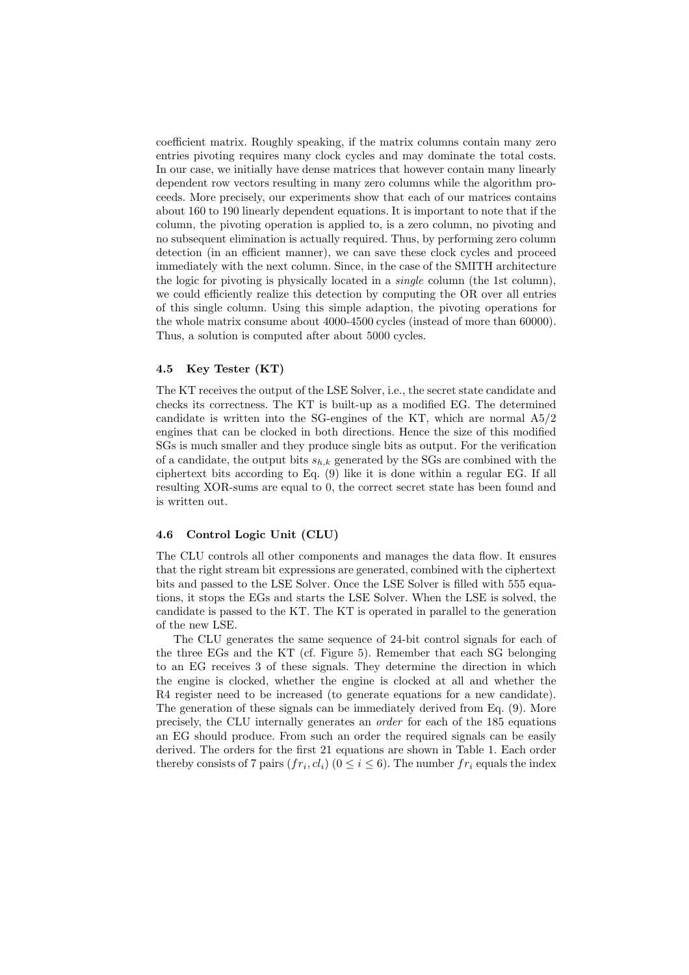coefficient matrix. Roughly speaking, if the matrix columns contain many zero entries pivoting requires many clock cycles and may dominate the total costs. In our case, we initially have dense matrices that however contain many linearly dependent row vectors resulting in many zero columns while the algorithm proceeds. More precisely, our experiments show that each of our matrices contains about 160 to 190 linearly dependent equations. It is important to note that if the column, the pivoting operation is applied to, is a zero column, no pivoting and no subsequent elimination is actually required. Thus, by performing zero column detection (in an efficient manner), we can save these clock cycles and proceed immediately with the next column. Since, in the case of the SMITH architecture the logic for pivoting is physically located in a single column (the 1st column), we could efficiently realize this detection by computing the OR over all entries of this single column. Using this simple adaption, the pivoting operations for the whole matrix consume about 4000-4500 cycles (instead of more than 60000). Thus, a solution is computed after about 5000 cycles.

## 4.5 Key Tester (KT)

The KT receives the output of the LSE Solver, i.e., the secret state candidate and checks its correctness. The KT is built-up as a modified EG. The determined candidate is written into the SG-engines of the KT, which are normal A5/2 engines that can be clocked in both directions. Hence the size of this modified SGs is much smaller and they produce single bits as output. For the verification of a candidate, the output bits  $s_{h,k}$  generated by the SGs are combined with the ciphertext bits according to Eq. (9) like it is done within a regular EG. If all resulting XOR-sums are equal to 0, the correct secret state has been found and is written out.

## 4.6 Control Logic Unit (CLU)

The CLU controls all other components and manages the data flow. It ensures that the right stream bit expressions are generated, combined with the ciphertext bits and passed to the LSE Solver. Once the LSE Solver is filled with 555 equations, it stops the EGs and starts the LSE Solver. When the LSE is solved, the candidate is passed to the KT. The KT is operated in parallel to the generation of the new LSE.

The CLU generates the same sequence of 24-bit control signals for each of the three EGs and the KT (cf. Figure 5). Remember that each SG belonging to an EG receives 3 of these signals. They determine the direction in which the engine is clocked, whether the engine is clocked at all and whether the R4 register need to be increased (to generate equations for a new candidate). The generation of these signals can be immediately derived from Eq. (9). More precisely, the CLU internally generates an order for each of the 185 equations an EG should produce. From such an order the required signals can be easily derived. The orders for the first 21 equations are shown in Table 1. Each order thereby consists of 7 pairs  $(fr_i, cl_i)$   $(0 \le i \le 6)$ . The number  $fr_i$  equals the index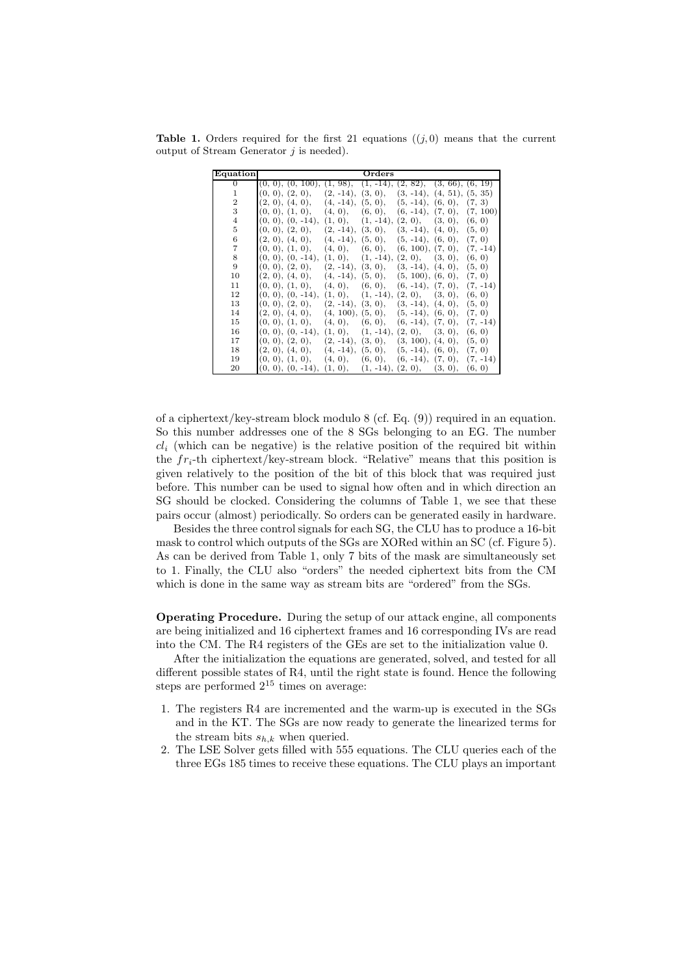**Table 1.** Orders required for the first 21 equations  $((j, 0)$  means that the current output of Stream Generator  $j$  is needed).

| Equation       | Orders                                                                     |                   |
|----------------|----------------------------------------------------------------------------|-------------------|
| $\Omega$       | $(1, 98), (1, -14),$<br>(2, 82), (3, 66), (6, 19)<br>(0, 0), (0, 100),     |                   |
| 1              | (3, 0),<br>$(3, -14), (4, 51), (5, 35)$<br>(0, 0), (2, 0),<br>$(2, -14)$ , |                   |
| $\overline{2}$ | $(4, -14), (5, 0), (5, -14), (6, 0),$<br>(2, 0), (4, 0),                   | (7, 3)            |
| 3              | $(6, -14), (7, 0),$<br>(0, 0), (1, 0),<br>(4, 0),<br>(6, 0),               | (7, 100)          |
| $\overline{4}$ | $(0, 0), (0, -14),$<br>$(2, 0)$ ,<br>(1, 0),<br>$(1, -14),$                | (3, 0),<br>(6, 0) |
| 5              | $(0, 0), (2, 0), (2, -14),$<br>$(3, 0), (3, -14), (4, 0), (5, 0)$          |                   |
| 6              | $(4, -14), (5, 0), (5, -14), (6, 0), (7, 0)$<br>(2, 0), (4, 0),            |                   |
| 7              | $(6, 100), (7, 0), (7, -14)$<br>(0, 0), (1, 0),<br>(4, 0),<br>(6, 0),      |                   |
| 8              | $(0, 0), (0, -14),$<br>$(1, -14),$<br>(2, 0),<br>(1, 0),                   | (6, 0)<br>(3, 0), |
| 9              | (0, 0), (2, 0),<br>$(2, -14), (3, 0),$<br>$(3, -14), (4, 0),$              | (5, 0)            |
| 10             | $(4, -14), (5, 0), (5, 100), (6, 0),$<br>(2, 0), (4, 0),                   | (7, 0)            |
| 11             | (0, 0), (1, 0),<br>$(6, -14), (7, 0),$<br>(4, 0),<br>(6, 0),               | $(7, -14)$        |
| 12             | $(0, 0), (0, -14),$<br>$(1, -14),$<br>(2, 0),<br>(1, 0),<br>(3, 0),        | (6, 0)            |
| 13             | (0, 0), (2, 0),<br>$(2, -14)$ , $(3, 0)$ ,<br>$(3, -14), (4, 0),$          | (5, 0)            |
| 14             | $(4, 100), (5, 0), (5, -14), (6, 0),$<br>(2, 0), (4, 0),                   | (7, 0)            |
| 15             | (0, 0), (1, 0),<br>(4, 0),<br>$(6, -14), (7, 0),$<br>(6, 0),               | $(7, -14)$        |
| 16             | $(0, 0), (0, -14),$<br>$(2, 0)$ ,<br>$(1, 0)$ ,<br>$(1, -14),$<br>(3, 0),  | (6, 0)            |
| 17             | (0, 0), (2, 0),<br>$(2, -14)$ ,<br>(3, 0), (3, 100), (4, 0),               | (5, 0)            |
| 18             | $(4, -14), (5, 0), (5, -14), (6, 0),$<br>(2, 0), (4, 0),                   | (7, 0)            |
| 19             | $(6, -14), (7, 0),$<br>(0, 0), (1, 0),<br>(4, 0),<br>(6, 0),               | $(7, -14)$        |
| 20             | $(1, 0), (1, -14), (2, 0), (3, 0),$<br>$(0, 0), (0, -14),$                 | (6, 0)            |

of a ciphertext/key-stream block modulo 8 (cf. Eq. (9)) required in an equation. So this number addresses one of the 8 SGs belonging to an EG. The number  $cl_i$  (which can be negative) is the relative position of the required bit within the  $fr_i$ -th ciphertext/key-stream block. "Relative" means that this position is given relatively to the position of the bit of this block that was required just before. This number can be used to signal how often and in which direction an SG should be clocked. Considering the columns of Table 1, we see that these pairs occur (almost) periodically. So orders can be generated easily in hardware.

Besides the three control signals for each SG, the CLU has to produce a 16-bit mask to control which outputs of the SGs are XORed within an SC (cf. Figure 5). As can be derived from Table 1, only 7 bits of the mask are simultaneously set to 1. Finally, the CLU also "orders" the needed ciphertext bits from the CM which is done in the same way as stream bits are "ordered" from the SGs.

Operating Procedure. During the setup of our attack engine, all components are being initialized and 16 ciphertext frames and 16 corresponding IVs are read into the CM. The R4 registers of the GEs are set to the initialization value 0.

After the initialization the equations are generated, solved, and tested for all different possible states of R4, until the right state is found. Hence the following steps are performed  $2^{15}$  times on average:

- 1. The registers R4 are incremented and the warm-up is executed in the SGs and in the KT. The SGs are now ready to generate the linearized terms for the stream bits  $s_{h,k}$  when queried.
- 2. The LSE Solver gets filled with 555 equations. The CLU queries each of the three EGs 185 times to receive these equations. The CLU plays an important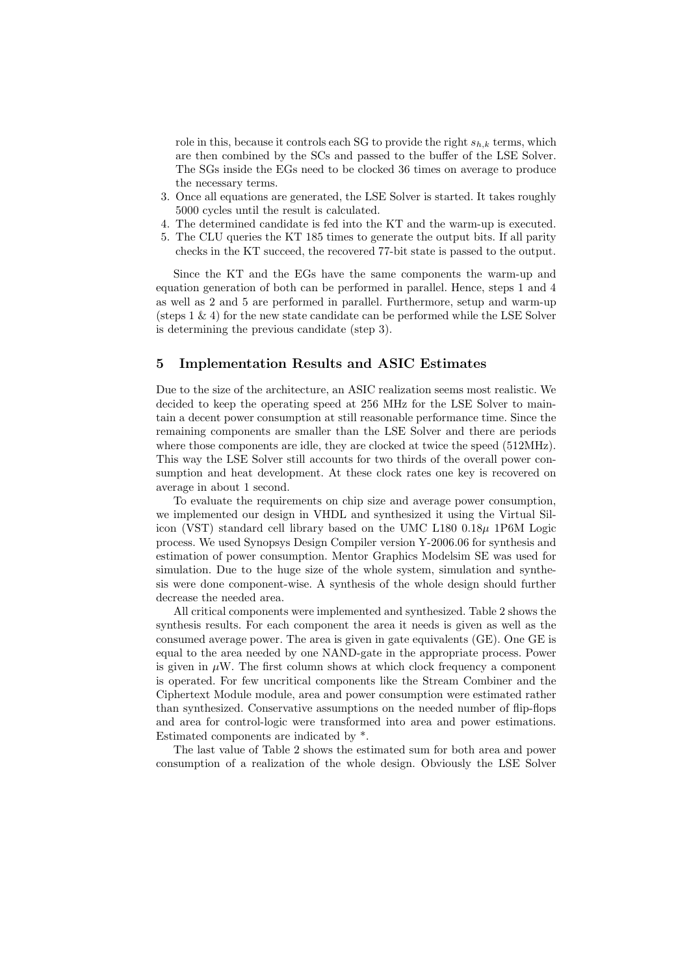role in this, because it controls each SG to provide the right  $s_{h,k}$  terms, which are then combined by the SCs and passed to the buffer of the LSE Solver. The SGs inside the EGs need to be clocked 36 times on average to produce the necessary terms.

- 3. Once all equations are generated, the LSE Solver is started. It takes roughly 5000 cycles until the result is calculated.
- 4. The determined candidate is fed into the KT and the warm-up is executed.
- 5. The CLU queries the KT 185 times to generate the output bits. If all parity checks in the KT succeed, the recovered 77-bit state is passed to the output.

Since the KT and the EGs have the same components the warm-up and equation generation of both can be performed in parallel. Hence, steps 1 and 4 as well as 2 and 5 are performed in parallel. Furthermore, setup and warm-up (steps 1 & 4) for the new state candidate can be performed while the LSE Solver is determining the previous candidate (step 3).

# 5 Implementation Results and ASIC Estimates

Due to the size of the architecture, an ASIC realization seems most realistic. We decided to keep the operating speed at 256 MHz for the LSE Solver to maintain a decent power consumption at still reasonable performance time. Since the remaining components are smaller than the LSE Solver and there are periods where those components are idle, they are clocked at twice the speed  $(512MHz)$ . This way the LSE Solver still accounts for two thirds of the overall power consumption and heat development. At these clock rates one key is recovered on average in about 1 second.

To evaluate the requirements on chip size and average power consumption, we implemented our design in VHDL and synthesized it using the Virtual Silicon (VST) standard cell library based on the UMC  $L180\;0.18\mu$  1P6M Logic process. We used Synopsys Design Compiler version Y-2006.06 for synthesis and estimation of power consumption. Mentor Graphics Modelsim SE was used for simulation. Due to the huge size of the whole system, simulation and synthesis were done component-wise. A synthesis of the whole design should further decrease the needed area.

All critical components were implemented and synthesized. Table 2 shows the synthesis results. For each component the area it needs is given as well as the consumed average power. The area is given in gate equivalents (GE). One GE is equal to the area needed by one NAND-gate in the appropriate process. Power is given in  $\mu$ W. The first column shows at which clock frequency a component is operated. For few uncritical components like the Stream Combiner and the Ciphertext Module module, area and power consumption were estimated rather than synthesized. Conservative assumptions on the needed number of flip-flops and area for control-logic were transformed into area and power estimations. Estimated components are indicated by \*.

The last value of Table 2 shows the estimated sum for both area and power consumption of a realization of the whole design. Obviously the LSE Solver